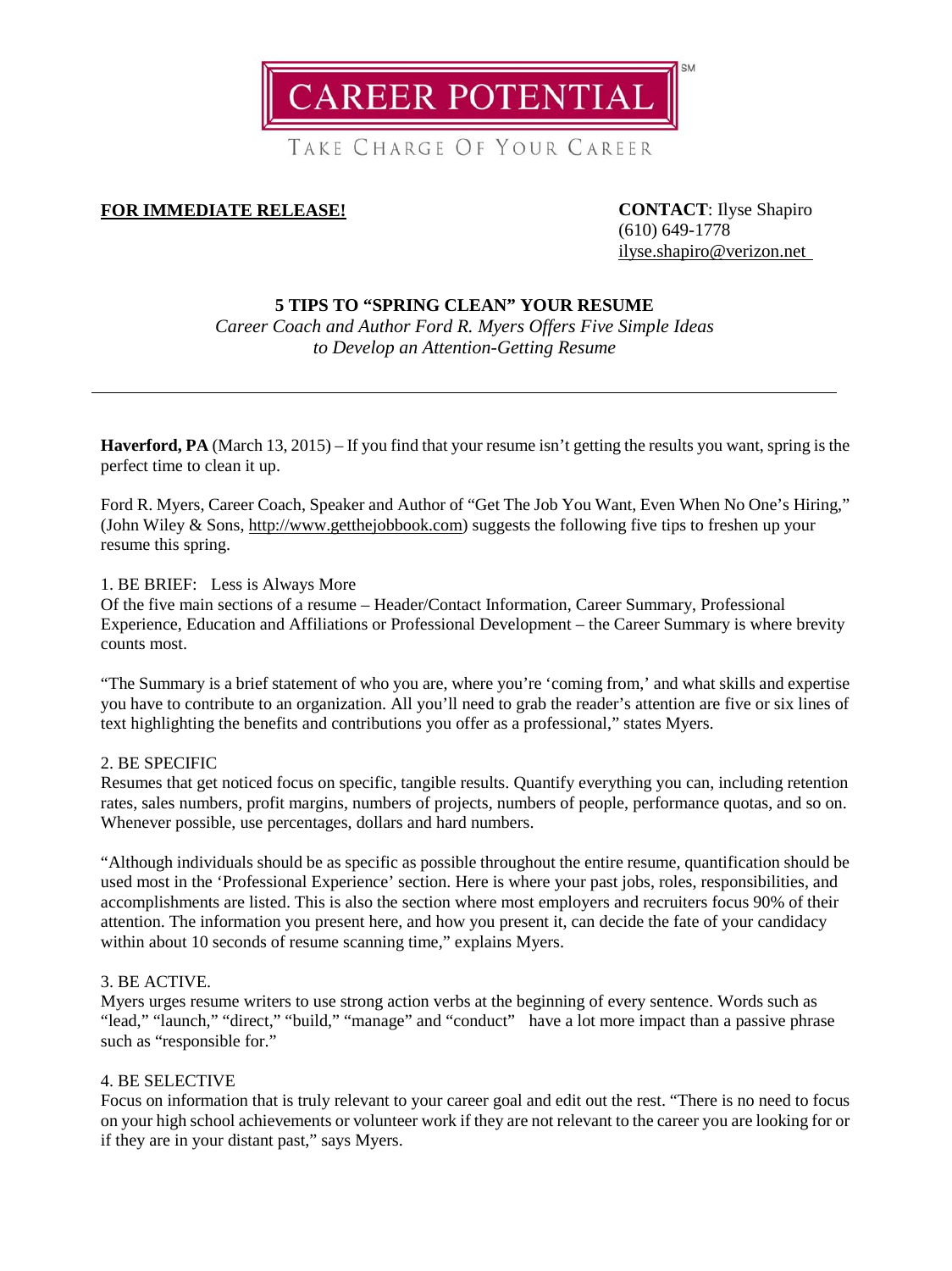**CAREER POTENTIAL** 

TAKE CHARGE OF YOUR CAREER

# **FOR IMMEDIATE RELEASE! CONTACT**: Ilyse Shapiro

(610) 649-1778 [ilyse.shapiro@verizon.net](mailto:ilyse.shapiro@verizon.net)

# **5 TIPS TO "SPRING CLEAN" YOUR RESUME**

*Career Coach and Author Ford R. Myers Offers Five Simple Ideas to Develop an Attention-Getting Resume*

**Haverford, PA** (March 13, 2015) – If you find that your resume isn't getting the results you want, spring is the perfect time to clean it up.

Ford R. Myers, Career Coach, Speaker and Author of "Get The Job You Want, Even When No One's Hiring," (John Wiley & Sons, [http://www.getthejobbook.com\)](http://www.getthejobbook.com/) suggests the following five tips to freshen up your resume this spring.

## 1. BE BRIEF: Less is Always More

Of the five main sections of a resume – Header/Contact Information, Career Summary, Professional Experience, Education and Affiliations or Professional Development – the Career Summary is where brevity counts most.

"The Summary is a brief statement of who you are, where you're 'coming from,' and what skills and expertise you have to contribute to an organization. All you'll need to grab the reader's attention are five or six lines of text highlighting the benefits and contributions you offer as a professional," states Myers.

### 2. BE SPECIFIC

Resumes that get noticed focus on specific, tangible results. Quantify everything you can, including retention rates, sales numbers, profit margins, numbers of projects, numbers of people, performance quotas, and so on. Whenever possible, use percentages, dollars and hard numbers.

"Although individuals should be as specific as possible throughout the entire resume, quantification should be used most in the 'Professional Experience' section. Here is where your past jobs, roles, responsibilities, and accomplishments are listed. This is also the section where most employers and recruiters focus 90% of their attention. The information you present here, and how you present it, can decide the fate of your candidacy within about 10 seconds of resume scanning time," explains Myers.

## 3. BE ACTIVE.

Myers urges resume writers to use strong action verbs at the beginning of every sentence. Words such as "lead," "launch," "direct," "build," "manage" and "conduct" have a lot more impact than a passive phrase such as "responsible for."

## 4. BE SELECTIVE

Focus on information that is truly relevant to your career goal and edit out the rest. "There is no need to focus on your high school achievements or volunteer work if they are not relevant to the career you are looking for or if they are in your distant past," says Myers.